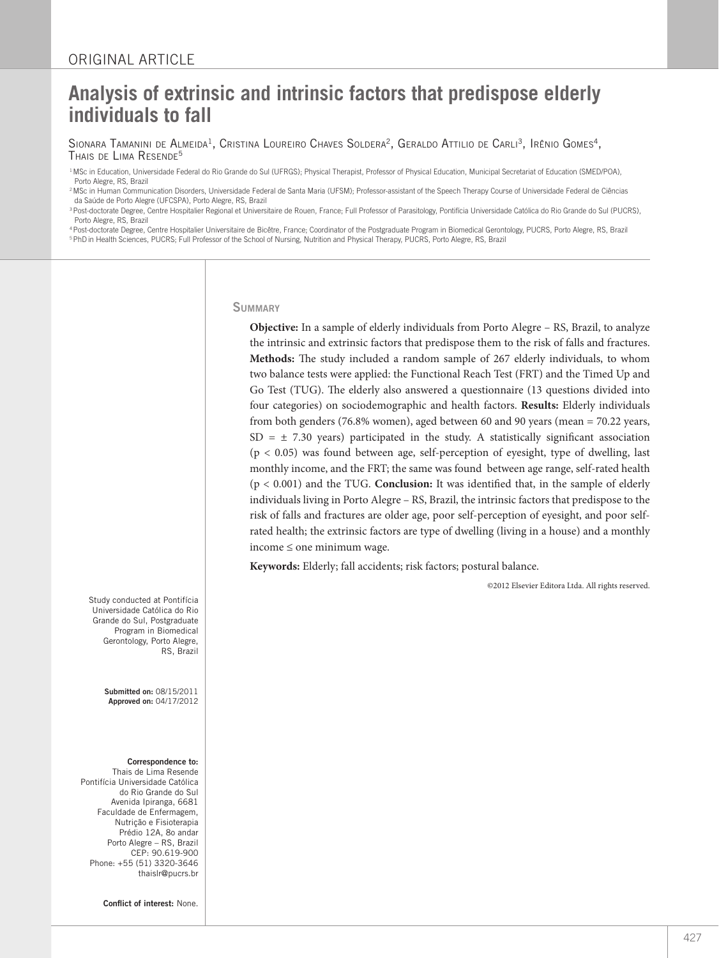# **Analysis of extrinsic and intrinsic factors that predispose elderly individuals to fall**

Sionara Tamanini de Almeida<sup>1</sup>, Cristina Loureiro Chaves Soldera<sup>2</sup>, Geraldo Attilio de Carli<sup>3</sup>, Irênio Gomes<sup>4</sup>,<br>Thais de Lima Resende<sup>5</sup>

<sup>1</sup> MSc in Education, Universidade Federal do Rio Grande do Sul (UFRGS); Physical Therapist, Professor of Physical Education, Municipal Secretariat of Education (SMED/POA), Porto Alegre, RS, Brazil

<sup>2</sup> MSc in Human Communication Disorders, Universidade Federal de Santa Maria (UFSM); Professor-assistant of the Speech Therapy Course of Universidade Federal de Ciências da Saúde de Porto Alegre (UFCSPA), Porto Alegre, RS, Brazil

<sup>3</sup> Post-doctorate Degree, Centre Hospitalier Regional et Universitaire de Rouen, France; Full Professor of Parasitology, Pontifícia Universidade Católica do Rio Grande do Sul (PUCRS),

Porto Alegre, RS, Brazil<br><sup>4</sup> Post-doctorate Degree, Centre Hospitalier Universitaire de Bicêtre, France; Coordinator of the Postgraduate Program in Biomedical Gerontology, PUCRS, Porto Alegre, RS, Brazil <sup>5</sup> PhD in Health Sciences, PUCRS; Full Professor of the School of Nursing, Nutrition and Physical Therapy, PUCRS, Porto Alegre, RS, Brazil

#### **SUMMARY**

**Objective:** In a sample of elderly individuals from Porto Alegre – RS, Brazil, to analyze the intrinsic and extrinsic factors that predispose them to the risk of falls and fractures. **Methods:** The study included a random sample of 267 elderly individuals, to whom two balance tests were applied: the Functional Reach Test (FRT) and the Timed Up and Go Test (TUG). The elderly also answered a questionnaire (13 questions divided into four categories) on sociodemographic and health factors. **Results:** Elderly individuals from both genders (76.8% women), aged between 60 and 90 years (mean = 70.22 years,  $SD = \pm 7.30$  years) participated in the study. A statistically significant association  $(p < 0.05)$  was found between age, self-perception of eyesight, type of dwelling, last monthly income, and the FRT; the same was found between age range, self-rated health (p < 0.001) and the TUG. **Conclusion:** It was identified that, in the sample of elderly individuals living in Porto Alegre – RS, Brazil, the intrinsic factors that predispose to the risk of falls and fractures are older age, poor self-perception of eyesight, and poor selfrated health; the extrinsic factors are type of dwelling (living in a house) and a monthly income ≤ one minimum wage.

**Keywords:** Elderly; fall accidents; risk factors; postural balance.

©2012 Elsevier Editora Ltda. All rights reserved.

Study conducted at Pontifícia Universidade Católica do Rio Grande do Sul, Postgraduate Program in Biomedical Gerontology, Porto Alegre, RS, Brazil

> Submitted on: 08/15/2011 Approved on: 04/17/2012

#### Correspondence to:

Thais de Lima Resende Pontifícia Universidade Católica do Rio Grande do Sul Avenida Ipiranga, 6681 Faculdade de Enfermagem, Nutrição e Fisioterapia Prédio 12A, 8o andar Porto Alegre – RS, Brazil CEP: 90.619-900 Phone: +55 (51) 3320-3646 thaislr@pucrs.br

Conflict of interest: None.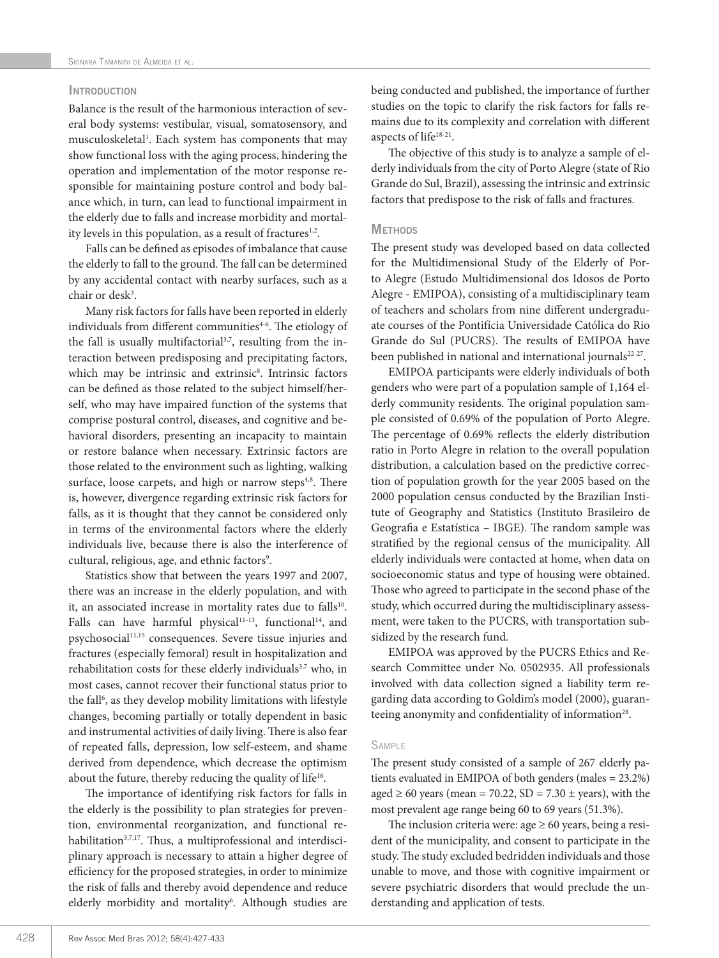# **INTRODUCTION**

Balance is the result of the harmonious interaction of several body systems: vestibular, visual, somatosensory, and musculoskeletal<sup>1</sup>. Each system has components that may show functional loss with the aging process, hindering the operation and implementation of the motor response responsible for maintaining posture control and body balance which, in turn, can lead to functional impairment in the elderly due to falls and increase morbidity and mortality levels in this population, as a result of fractures<sup>1,2</sup>.

Falls can be defined as episodes of imbalance that cause the elderly to fall to the ground. The fall can be determined by any accidental contact with nearby surfaces, such as a chair or desk<sup>3</sup>.

Many risk factors for falls have been reported in elderly individuals from different communities $4-6$ . The etiology of the fall is usually multifactorial<sup>3,7</sup>, resulting from the interaction between predisposing and precipitating factors, which may be intrinsic and extrinsic<sup>8</sup>. Intrinsic factors can be defined as those related to the subject himself/herself, who may have impaired function of the systems that comprise postural control, diseases, and cognitive and behavioral disorders, presenting an incapacity to maintain or restore balance when necessary. Extrinsic factors are those related to the environment such as lighting, walking surface, loose carpets, and high or narrow steps<sup>4,8</sup>. There is, however, divergence regarding extrinsic risk factors for falls, as it is thought that they cannot be considered only in terms of the environmental factors where the elderly individuals live, because there is also the interference of cultural, religious, age, and ethnic factors<sup>9</sup>.

Statistics show that between the years 1997 and 2007, there was an increase in the elderly population, and with it, an associated increase in mortality rates due to falls<sup>10</sup>. Falls can have harmful physical<sup>11-13</sup>, functional<sup>14</sup>, and psychosocial<sup>11,15</sup> consequences. Severe tissue injuries and fractures (especially femoral) result in hospitalization and rehabilitation costs for these elderly individuals<sup>3,7</sup> who, in most cases, cannot recover their functional status prior to the fall<sup>6</sup>, as they develop mobility limitations with lifestyle changes, becoming partially or totally dependent in basic and instrumental activities of daily living. There is also fear of repeated falls, depression, low self-esteem, and shame derived from dependence, which decrease the optimism about the future, thereby reducing the quality of life<sup>16</sup>.

The importance of identifying risk factors for falls in the elderly is the possibility to plan strategies for prevention, environmental reorganization, and functional rehabilitation<sup>3,7,17</sup>. Thus, a multiprofessional and interdisciplinary approach is necessary to attain a higher degree of efficiency for the proposed strategies, in order to minimize the risk of falls and thereby avoid dependence and reduce elderly morbidity and mortality<sup>6</sup>. Although studies are being conducted and published, the importance of further studies on the topic to clarify the risk factors for falls remains due to its complexity and correlation with different aspects of life<sup>18-21</sup>.

The objective of this study is to analyze a sample of elderly individuals from the city of Porto Alegre (state of Rio Grande do Sul, Brazil), assessing the intrinsic and extrinsic factors that predispose to the risk of falls and fractures.

## **METHODS**

The present study was developed based on data collected for the Multidimensional Study of the Elderly of Porto Alegre (Estudo Multidimensional dos Idosos de Porto Alegre - EMIPOA), consisting of a multidisciplinary team of teachers and scholars from nine different undergraduate courses of the Pontifícia Universidade Católica do Rio Grande do Sul (PUCRS). The results of EMIPOA have been published in national and international journals<sup>22-27</sup>.

EMIPOA participants were elderly individuals of both genders who were part of a population sample of 1,164 elderly community residents. The original population sample consisted of 0.69% of the population of Porto Alegre. The percentage of 0.69% reflects the elderly distribution ratio in Porto Alegre in relation to the overall population distribution, a calculation based on the predictive correction of population growth for the year 2005 based on the 2000 population census conducted by the Brazilian Institute of Geography and Statistics (Instituto Brasileiro de Geografia e Estatística – IBGE). The random sample was stratified by the regional census of the municipality. All elderly individuals were contacted at home, when data on socioeconomic status and type of housing were obtained. Those who agreed to participate in the second phase of the study, which occurred during the multidisciplinary assessment, were taken to the PUCRS, with transportation subsidized by the research fund.

EMIPOA was approved by the PUCRS Ethics and Research Committee under No. 0502935. All professionals involved with data collection signed a liability term regarding data according to Goldim's model (2000), guaranteeing anonymity and confidentiality of information<sup>28</sup>.

## **SAMPLE**

The present study consisted of a sample of 267 elderly patients evaluated in EMIPOA of both genders (males = 23.2%) aged  $\geq 60$  years (mean = 70.22, SD = 7.30  $\pm$  years), with the most prevalent age range being 60 to 69 years (51.3%).

The inclusion criteria were: age  $\geq 60$  years, being a resident of the municipality, and consent to participate in the study. The study excluded bedridden individuals and those unable to move, and those with cognitive impairment or severe psychiatric disorders that would preclude the understanding and application of tests.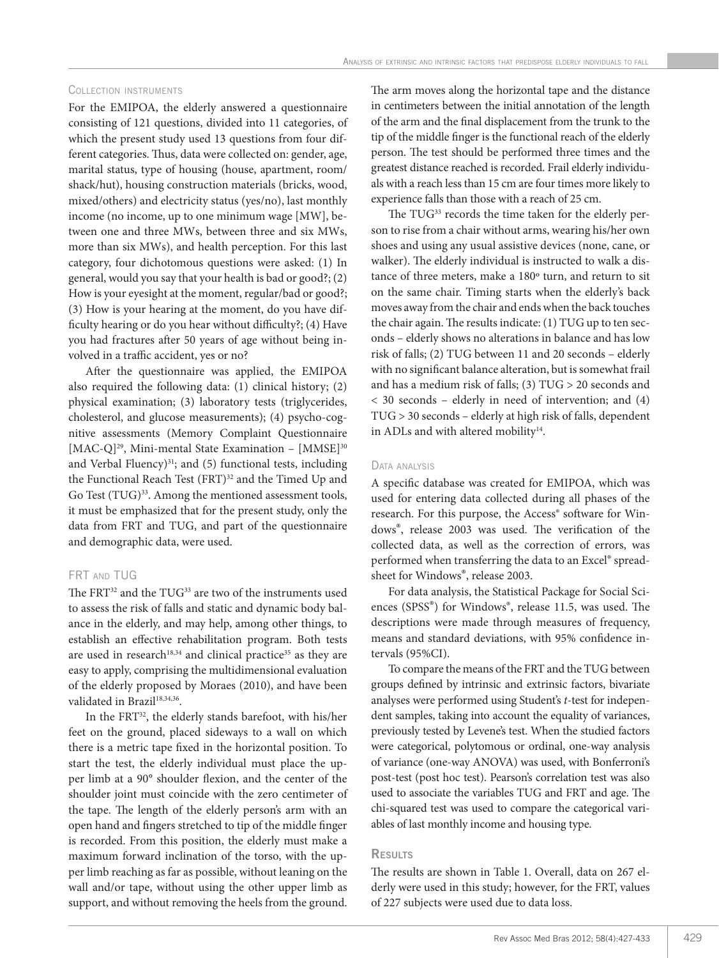#### Collection instruments

For the EMIPOA, the elderly answered a questionnaire consisting of 121 questions, divided into 11 categories, of which the present study used 13 questions from four different categories. Thus, data were collected on: gender, age, marital status, type of housing (house, apartment, room/ shack/hut), housing construction materials (bricks, wood, mixed/others) and electricity status (yes/no), last monthly income (no income, up to one minimum wage [MW], between one and three MWs, between three and six MWs, more than six MWs), and health perception. For this last category, four dichotomous questions were asked: (1) In general, would you say that your health is bad or good?; (2) How is your eyesight at the moment, regular/bad or good?; (3) How is your hearing at the moment, do you have difficulty hearing or do you hear without difficulty?; (4) Have you had fractures after 50 years of age without being involved in a traffic accident, yes or no?

After the questionnaire was applied, the EMIPOA also required the following data: (1) clinical history; (2) physical examination; (3) laboratory tests (triglycerides, cholesterol, and glucose measurements); (4) psycho-cognitive assessments (Memory Complaint Questionnaire [MAC-Q]<sup>29</sup>, Mini-mental State Examination - [MMSE]<sup>30</sup> and Verbal Fluency $)^{31}$ ; and (5) functional tests, including the Functional Reach Test (FRT)<sup>32</sup> and the Timed Up and Go Test (TUG)<sup>33</sup>. Among the mentioned assessment tools, it must be emphasized that for the present study, only the data from FRT and TUG, and part of the questionnaire and demographic data, were used.

# FRT AND TUG

The FRT<sup>32</sup> and the TUG<sup>33</sup> are two of the instruments used to assess the risk of falls and static and dynamic body balance in the elderly, and may help, among other things, to establish an effective rehabilitation program. Both tests are used in research<sup>18,34</sup> and clinical practice<sup>35</sup> as they are easy to apply, comprising the multidimensional evaluation of the elderly proposed by Moraes (2010), and have been validated in Brazil<sup>18,34,36</sup>.

In the FRT<sup>32</sup>, the elderly stands barefoot, with his/her feet on the ground, placed sideways to a wall on which there is a metric tape fixed in the horizontal position. To start the test, the elderly individual must place the upper limb at a 90° shoulder flexion, and the center of the shoulder joint must coincide with the zero centimeter of the tape. The length of the elderly person's arm with an open hand and fingers stretched to tip of the middle finger is recorded. From this position, the elderly must make a maximum forward inclination of the torso, with the upper limb reaching as far as possible, without leaning on the wall and/or tape, without using the other upper limb as support, and without removing the heels from the ground.

The arm moves along the horizontal tape and the distance in centimeters between the initial annotation of the length of the arm and the final displacement from the trunk to the tip of the middle finger is the functional reach of the elderly person. The test should be performed three times and the greatest distance reached is recorded. Frail elderly individuals with a reach less than 15 cm are four times more likely to experience falls than those with a reach of 25 cm.

The TUG<sup>33</sup> records the time taken for the elderly person to rise from a chair without arms, wearing his/her own shoes and using any usual assistive devices (none, cane, or walker). The elderly individual is instructed to walk a distance of three meters, make a 180º turn, and return to sit on the same chair. Timing starts when the elderly's back moves away from the chair and ends when the back touches the chair again. The results indicate: (1) TUG up to ten seconds – elderly shows no alterations in balance and has low risk of falls; (2) TUG between 11 and 20 seconds – elderly with no significant balance alteration, but is somewhat frail and has a medium risk of falls; (3) TUG > 20 seconds and < 30 seconds – elderly in need of intervention; and (4) TUG > 30 seconds – elderly at high risk of falls, dependent in ADLs and with altered mobility<sup>14</sup>.

#### DATA ANALYSIS

A specific database was created for EMIPOA, which was used for entering data collected during all phases of the research. For this purpose, the Access® software for Windows®, release 2003 was used. The verification of the collected data, as well as the correction of errors, was performed when transferring the data to an Excel® spreadsheet for Windows®, release 2003.

For data analysis, the Statistical Package for Social Sciences (SPSS®) for Windows®, release 11.5, was used. The descriptions were made through measures of frequency, means and standard deviations, with 95% confidence intervals (95%CI).

To compare the means of the FRT and the TUG between groups defined by intrinsic and extrinsic factors, bivariate analyses were performed using Student's *t*-test for independent samples, taking into account the equality of variances, previously tested by Levene's test. When the studied factors were categorical, polytomous or ordinal, one-way analysis of variance (one-way ANOVA) was used, with Bonferroni's post-test (post hoc test). Pearson's correlation test was also used to associate the variables TUG and FRT and age. The chi-squared test was used to compare the categorical variables of last monthly income and housing type.

# **RESULTS**

The results are shown in Table 1. Overall, data on 267 elderly were used in this study; however, for the FRT, values of 227 subjects were used due to data loss.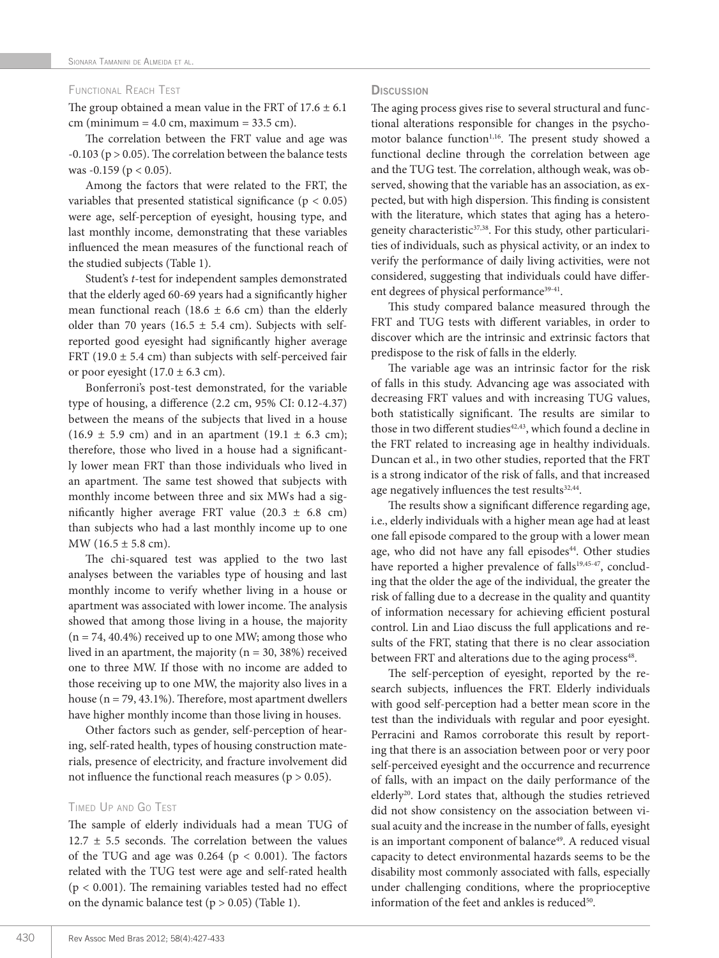## Functional Reach Test

The group obtained a mean value in the FRT of  $17.6 \pm 6.1$ cm (minimum =  $4.0$  cm, maximum =  $33.5$  cm).

The correlation between the FRT value and age was  $-0.103$  ( $p > 0.05$ ). The correlation between the balance tests was  $-0.159$  ( $p < 0.05$ ).

Among the factors that were related to the FRT, the variables that presented statistical significance ( $p < 0.05$ ) were age, self-perception of eyesight, housing type, and last monthly income, demonstrating that these variables influenced the mean measures of the functional reach of the studied subjects (Table 1).

Student's *t*-test for independent samples demonstrated that the elderly aged 60-69 years had a significantly higher mean functional reach (18.6  $\pm$  6.6 cm) than the elderly older than 70 years (16.5  $\pm$  5.4 cm). Subjects with selfreported good eyesight had significantly higher average FRT (19.0  $\pm$  5.4 cm) than subjects with self-perceived fair or poor eyesight  $(17.0 \pm 6.3 \text{ cm})$ .

Bonferroni's post-test demonstrated, for the variable type of housing, a difference (2.2 cm, 95% CI: 0.12-4.37) between the means of the subjects that lived in a house  $(16.9 \pm 5.9 \text{ cm})$  and in an apartment  $(19.1 \pm 6.3 \text{ cm})$ ; therefore, those who lived in a house had a significantly lower mean FRT than those individuals who lived in an apartment. The same test showed that subjects with monthly income between three and six MWs had a significantly higher average FRT value  $(20.3 \pm 6.8 \text{ cm})$ than subjects who had a last monthly income up to one MW (16.5  $\pm$  5.8 cm).

The chi-squared test was applied to the two last analyses between the variables type of housing and last monthly income to verify whether living in a house or apartment was associated with lower income. The analysis showed that among those living in a house, the majority  $(n = 74, 40.4%)$  received up to one MW; among those who lived in an apartment, the majority ( $n = 30, 38\%$ ) received one to three MW. If those with no income are added to those receiving up to one MW, the majority also lives in a house (n = 79, 43.1%). Therefore, most apartment dwellers have higher monthly income than those living in houses.

Other factors such as gender, self-perception of hearing, self-rated health, types of housing construction materials, presence of electricity, and fracture involvement did not influence the functional reach measures ( $p > 0.05$ ).

#### Timed Up and Go Test

The sample of elderly individuals had a mean TUG of  $12.7 \pm 5.5$  seconds. The correlation between the values of the TUG and age was  $0.264$  (p <  $0.001$ ). The factors related with the TUG test were age and self-rated health  $(p < 0.001)$ . The remaining variables tested had no effect on the dynamic balance test ( $p > 0.05$ ) (Table 1).

# **Discussion**

The aging process gives rise to several structural and functional alterations responsible for changes in the psychomotor balance function<sup>1,16</sup>. The present study showed a functional decline through the correlation between age and the TUG test. The correlation, although weak, was observed, showing that the variable has an association, as expected, but with high dispersion. This finding is consistent with the literature, which states that aging has a heterogeneity characteristic<sup>37,38</sup>. For this study, other particularities of individuals, such as physical activity, or an index to verify the performance of daily living activities, were not considered, suggesting that individuals could have different degrees of physical performance<sup>39-41</sup>.

This study compared balance measured through the FRT and TUG tests with different variables, in order to discover which are the intrinsic and extrinsic factors that predispose to the risk of falls in the elderly.

The variable age was an intrinsic factor for the risk of falls in this study. Advancing age was associated with decreasing FRT values and with increasing TUG values, both statistically significant. The results are similar to those in two different studies<sup>42,43</sup>, which found a decline in the FRT related to increasing age in healthy individuals. Duncan et al., in two other studies, reported that the FRT is a strong indicator of the risk of falls, and that increased age negatively influences the test results<sup>32,44</sup>.

The results show a significant difference regarding age, i.e., elderly individuals with a higher mean age had at least one fall episode compared to the group with a lower mean age, who did not have any fall episodes<sup>44</sup>. Other studies have reported a higher prevalence of falls<sup>19,45-47</sup>, concluding that the older the age of the individual, the greater the risk of falling due to a decrease in the quality and quantity of information necessary for achieving efficient postural control. Lin and Liao discuss the full applications and results of the FRT, stating that there is no clear association between FRT and alterations due to the aging process<sup>48</sup>.

The self-perception of eyesight, reported by the research subjects, influences the FRT. Elderly individuals with good self-perception had a better mean score in the test than the individuals with regular and poor eyesight. Perracini and Ramos corroborate this result by reporting that there is an association between poor or very poor self-perceived eyesight and the occurrence and recurrence of falls, with an impact on the daily performance of the elderly<sup>20</sup>. Lord states that, although the studies retrieved did not show consistency on the association between visual acuity and the increase in the number of falls, eyesight is an important component of balance<sup>49</sup>. A reduced visual capacity to detect environmental hazards seems to be the disability most commonly associated with falls, especially under challenging conditions, where the proprioceptive information of the feet and ankles is reduced<sup>50</sup>.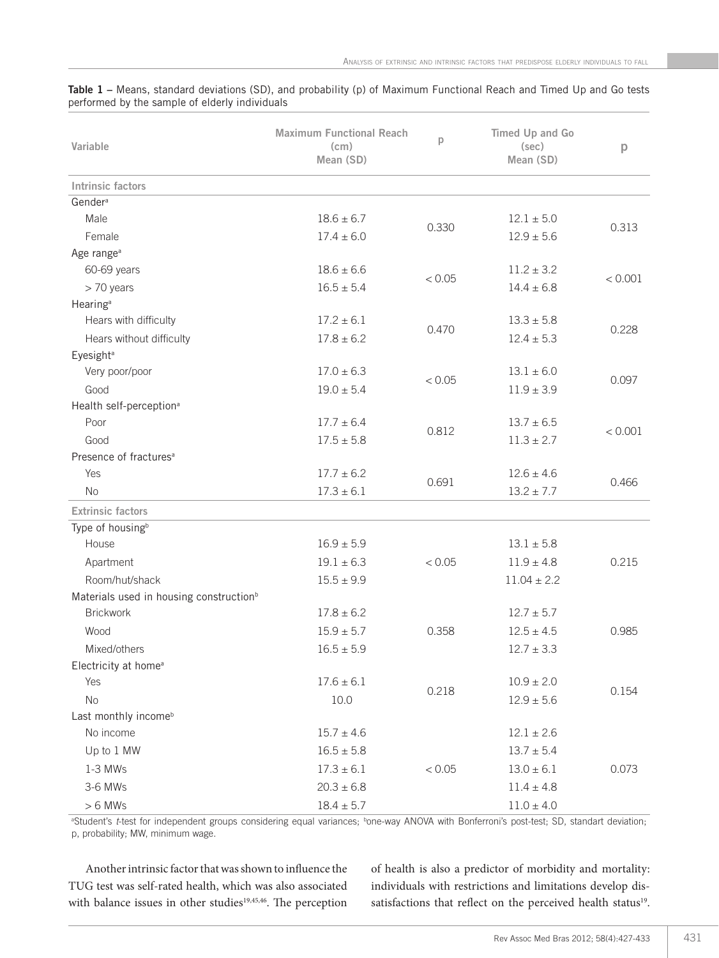| Variable                                            | <b>Maximum Functional Reach</b><br>(c <sub>m</sub> )<br>Mean (SD) | D      | Timed Up and Go<br>(sec)<br>Mean (SD) | p       |
|-----------------------------------------------------|-------------------------------------------------------------------|--------|---------------------------------------|---------|
| Intrinsic factors                                   |                                                                   |        |                                       |         |
| Gender <sup>a</sup>                                 |                                                                   |        |                                       |         |
| Male                                                | $18.6 \pm 6.7$                                                    | 0.330  | $12.1 \pm 5.0$                        | 0.313   |
| Female                                              | $17.4 \pm 6.0$                                                    |        | $12.9 \pm 5.6$                        |         |
| Age range <sup>a</sup>                              |                                                                   |        |                                       |         |
| 60-69 years                                         | $18.6 \pm 6.6$                                                    | < 0.05 | $11.2 \pm 3.2$                        | < 0.001 |
| > 70 years                                          | $16.5 \pm 5.4$                                                    |        | $14.4 \pm 6.8$                        |         |
| Hearing <sup>a</sup>                                |                                                                   |        |                                       |         |
| Hears with difficulty                               | $17.2 \pm 6.1$                                                    | 0.470  | $13.3 \pm 5.8$                        | 0.228   |
| Hears without difficulty                            | $17.8 \pm 6.2$                                                    |        | $12.4 \pm 5.3$                        |         |
| Eyesight <sup>a</sup>                               |                                                                   |        |                                       |         |
| Very poor/poor                                      | $17.0 \pm 6.3$                                                    | < 0.05 | $13.1 \pm 6.0$                        | 0.097   |
| Good                                                | $19.0 \pm 5.4$                                                    |        | $11.9 \pm 3.9$                        |         |
| Health self-perception <sup>a</sup>                 |                                                                   |        |                                       |         |
| Poor                                                | $17.7 \pm 6.4$                                                    | 0.812  | $13.7 \pm 6.5$                        | < 0.001 |
| Good                                                | $17.5 \pm 5.8$                                                    |        | $11.3 \pm 2.7$                        |         |
| Presence of fractures <sup>a</sup>                  |                                                                   |        |                                       |         |
| Yes                                                 | $17.7 \pm 6.2$                                                    | 0.691  | $12.6 \pm 4.6$                        | 0.466   |
| <b>No</b>                                           | $17.3 \pm 6.1$                                                    |        | $13.2 \pm 7.7$                        |         |
| <b>Extrinsic factors</b>                            |                                                                   |        |                                       |         |
| Type of housing <sup>b</sup>                        |                                                                   |        |                                       |         |
| House                                               | $16.9 \pm 5.9$                                                    | < 0.05 | $13.1 \pm 5.8$                        | 0.215   |
| Apartment                                           | $19.1 \pm 6.3$                                                    |        | $11.9 \pm 4.8$                        |         |
| Room/hut/shack                                      | $15.5 \pm 9.9$                                                    |        | $11.04 \pm 2.2$                       |         |
| Materials used in housing construction <sup>b</sup> |                                                                   |        |                                       |         |
| <b>Brickwork</b>                                    | $17.8 \pm 6.2$                                                    |        | $12.7 \pm 5.7$                        |         |
| <b>Wood</b>                                         | $15.9 \pm 5.7$                                                    | 0.358  | $12.5 \pm 4.5$                        | 0.985   |
| Mixed/others                                        | $16.5 \pm 5.9$                                                    |        | $12.7 \pm 3.3$                        |         |
| Electricity at home <sup>a</sup>                    |                                                                   |        |                                       |         |
| Yes                                                 | $17.6 \pm 6.1$                                                    | 0.218  | $10.9 \pm 2.0$                        | 0.154   |
| No                                                  | 10.0                                                              |        | $12.9 \pm 5.6$                        |         |
| Last monthly income <sup>b</sup>                    |                                                                   |        |                                       |         |
| No income                                           | $15.7 \pm 4.6$                                                    |        | $12.1 \pm 2.6$                        |         |
| Up to 1 MW                                          | $16.5 \pm 5.8$                                                    | < 0.05 | $13.7 \pm 5.4$                        | 0.073   |
| 1-3 MWs                                             | $17.3 \pm 6.1$                                                    |        | $13.0 \pm 6.1$                        |         |
| 3-6 MWs                                             | $20.3 \pm 6.8$                                                    |        | $11.4 \pm 4.8$                        |         |
| $> 6$ MWs                                           | $18.4 \pm 5.7$                                                    |        | $11.0 \pm 4.0$                        |         |

Table 1 – Means, standard deviations (SD), and probability (p) of Maximum Functional Reach and Timed Up and Go tests performed by the sample of elderly individuals

<sup>a</sup>Student's *t*-test for independent groups considering equal variances; <sup>b</sup>one-way ANOVA with Bonferroni's post-test; SD, standart deviation; p, probability; MW, minimum wage.

Another intrinsic factor that was shown to influence the TUG test was self-rated health, which was also associated with balance issues in other studies<sup>19,45,46</sup>. The perception of health is also a predictor of morbidity and mortality: individuals with restrictions and limitations develop dissatisfactions that reflect on the perceived health status<sup>19</sup>.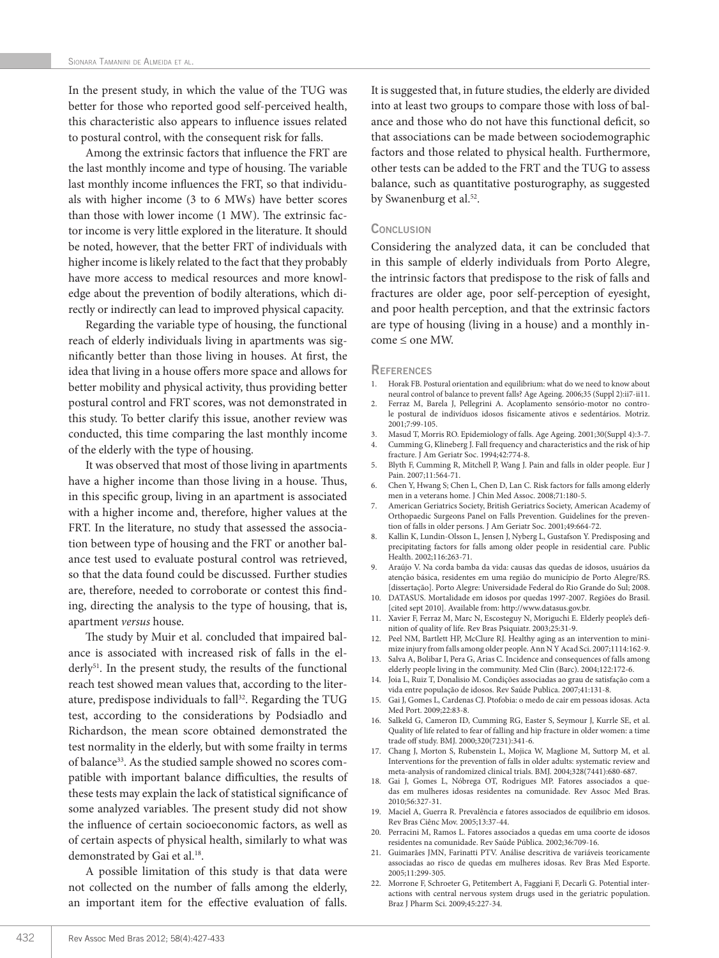In the present study, in which the value of the TUG was better for those who reported good self-perceived health, this characteristic also appears to influence issues related to postural control, with the consequent risk for falls.

Among the extrinsic factors that influence the FRT are the last monthly income and type of housing. The variable last monthly income influences the FRT, so that individuals with higher income (3 to 6 MWs) have better scores than those with lower income (1 MW). The extrinsic factor income is very little explored in the literature. It should be noted, however, that the better FRT of individuals with higher income is likely related to the fact that they probably have more access to medical resources and more knowledge about the prevention of bodily alterations, which directly or indirectly can lead to improved physical capacity.

Regarding the variable type of housing, the functional reach of elderly individuals living in apartments was significantly better than those living in houses. At first, the idea that living in a house offers more space and allows for better mobility and physical activity, thus providing better postural control and FRT scores, was not demonstrated in this study. To better clarify this issue, another review was conducted, this time comparing the last monthly income of the elderly with the type of housing.

It was observed that most of those living in apartments have a higher income than those living in a house. Thus, in this specific group, living in an apartment is associated with a higher income and, therefore, higher values at the FRT. In the literature, no study that assessed the association between type of housing and the FRT or another balance test used to evaluate postural control was retrieved, so that the data found could be discussed. Further studies are, therefore, needed to corroborate or contest this finding, directing the analysis to the type of housing, that is, apartment *versus* house.

The study by Muir et al. concluded that impaired balance is associated with increased risk of falls in the elderly<sup>51</sup>. In the present study, the results of the functional reach test showed mean values that, according to the literature, predispose individuals to fall<sup>32</sup>. Regarding the TUG test, according to the considerations by Podsiadlo and Richardson, the mean score obtained demonstrated the test normality in the elderly, but with some frailty in terms of balance<sup>33</sup>. As the studied sample showed no scores compatible with important balance difficulties, the results of these tests may explain the lack of statistical significance of some analyzed variables. The present study did not show the influence of certain socioeconomic factors, as well as of certain aspects of physical health, similarly to what was demonstrated by Gai et al.<sup>18</sup>.

A possible limitation of this study is that data were not collected on the number of falls among the elderly, an important item for the effective evaluation of falls.

It is suggested that, in future studies, the elderly are divided into at least two groups to compare those with loss of balance and those who do not have this functional deficit, so that associations can be made between sociodemographic factors and those related to physical health. Furthermore, other tests can be added to the FRT and the TUG to assess balance, such as quantitative posturography, as suggested by Swanenburg et al.<sup>52</sup>.

## **CONCLUSION**

Considering the analyzed data, it can be concluded that in this sample of elderly individuals from Porto Alegre, the intrinsic factors that predispose to the risk of falls and fractures are older age, poor self-perception of eyesight, and poor health perception, and that the extrinsic factors are type of housing (living in a house) and a monthly income ≤ one MW.

#### **REFERENCES**

- 1. Horak FB. Postural orientation and equilibrium: what do we need to know about neural control of balance to prevent falls? Age Ageing. 2006;35 (Suppl 2):ii7-ii11.
- 2. Ferraz M, Barela J, Pellegrini A. Acoplamento sensório-motor no controle postural de indivíduos idosos fisicamente ativos e sedentários. Motriz. 2001;7:99-105.
- 3. Masud T, Morris RO. Epidemiology of falls. Age Ageing. 2001;30(Suppl 4):3-7. 4. Cumming G, Klineberg J. Fall frequency and characteristics and the risk of hip fracture. J Am Geriatr Soc. 1994;42:774-8.
- 5. Blyth F, Cumming R, Mitchell P, Wang J. Pain and falls in older people. Eur J Pain. 2007;11:564-71.
- 6. Chen Y, Hwang S; Chen L, Chen D, Lan C. Risk factors for falls among elderly men in a veterans home. J Chin Med Assoc. 2008;71:180-5.
- 7. American Geriatrics Society, British Geriatrics Society, American Academy of Orthopaedic Surgeons Panel on Falls Prevention. Guidelines for the prevention of falls in older persons. J Am Geriatr Soc. 2001;49:664-72.
- Kallin K, Lundin-Olsson L, Jensen J, Nyberg L, Gustafson Y. Predisposing and precipitating factors for falls among older people in residential care. Public Health. 2002;116:263-71.
- 9. Araújo V. Na corda bamba da vida: causas das quedas de idosos, usuários da atenção básica, residentes em uma região do município de Porto Alegre/RS. [dissertação]. Porto Alegre: Universidade Federal do Rio Grande do Sul; 2008.
- 10. DATASUS. Mortalidade em idosos por quedas 1997-2007. Regiões do Brasil. [cited sept 2010]. Available from: http://www.datasus.gov.br.
- 11. Xavier F, Ferraz M, Marc N, Escosteguy N, Moriguchi E. Elderly people's definition of quality of life. Rev Bras Psiquiatr. 2003;25:31-9.
- 12. Peel NM, Bartlett HP, McClure RJ. Healthy aging as an intervention to minimize injury from falls among older people. Ann N Y Acad Sci. 2007;1114:162-9.
- 13. Salva A, Bolibar I, Pera G, Arias C. Incidence and consequences of falls among elderly people living in the community. Med Clin (Barc). 2004;122:172-6.
- 14. Joia L, Ruiz T, Donalisio M. Condições associadas ao grau de satisfação com a vida entre população de idosos. Rev Saúde Publica. 2007;41:131-8.
- 15. Gai J, Gomes L, Cardenas CJ. Ptofobia: o medo de cair em pessoas idosas. Acta Med Port. 2009;22:83-8.
- 16. Salkeld G, Cameron ID, Cumming RG, Easter S, Seymour J, Kurrle SE, et al. Quality of life related to fear of falling and hip fracture in older women: a time trade off study. BMJ. 2000;320(7231):341-6.
- 17. Chang J, Morton S, Rubenstein L, Mojica W, Maglione M, Suttorp M, et al. Interventions for the prevention of falls in older adults: systematic review and meta-analysis of randomized clinical trials. BMJ. 2004;328(7441):680-687.
- 18. Gai J, Gomes L, Nóbrega OT, Rodrigues MP. Fatores associados a quedas em mulheres idosas residentes na comunidade. Rev Assoc Med Bras. 2010;56:327-31.
- 19. Maciel A, Guerra R. Prevalência e fatores associados de equilíbrio em idosos. Rev Bras Ciênc Mov. 2005;13:37-44.
- 20. Perracini M, Ramos L. Fatores associados a quedas em uma coorte de idosos residentes na comunidade. Rev Saúde Pública. 2002;36:709-16.
- 21. Guimarães JMN, Farinatti PTV. Análise descritiva de variáveis teoricamente associadas ao risco de quedas em mulheres idosas. Rev Bras Med Esporte. 2005;11:299-305.
- 22. Morrone F, Schroeter G, Petitembert A, Faggiani F, Decarli G. Potential interactions with central nervous system drugs used in the geriatric population. Braz J Pharm Sci. 2009;45:227-34.